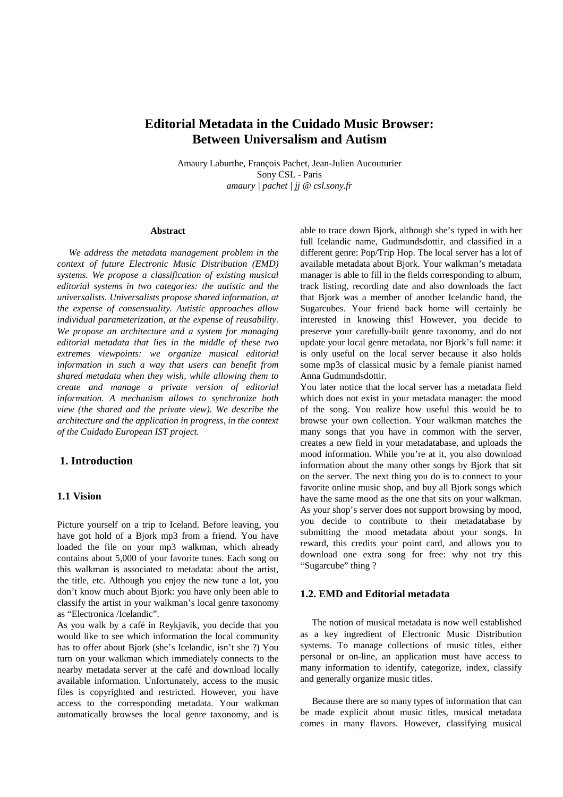# **Editorial Metadata in the Cuidado Music Browser: Between Universalism and Autism**

Amaury Laburthe, François Pachet, Jean-Julien Aucouturier SonyCSL-Paris *amaury | pachet | jj @ csl.sony.fr*

### **Abstract**

*We address the metadata management problem in the context of future Electronic Music Distribution (EMD) systems. We propose a classification of existing musical editorial systems in two categories: the autistic and the universalists. Universalists propose shared information, at the expense of consensuality. Autistic approaches allow individual parameterization, at the expense of reusability. We propose an architecture and a system for managing editorial metadata that lies in the middle of these two extremes viewpoints: we organize musical editorial information in such a way that users can benefit from shared metadata when they wish, while allowing them to create and manage a private version of editorial information. A mechanism allows to synchronize both view (the shared and the private view). We describe the architecture and the application in progress, in the context of the Cuidado European IST project.* 

# **1. Introduction**

### **1.1 Vision**

Picture yourself on a trip to Iceland. Before leaving, you have got hold of a Bjork mp3 from a friend. You have loaded the file on your mp3 walkman, which already contains about 5,000 of your favorite tunes. Each song on this walkman is associated to metadata: about the artist, the title, etc. Although you enjoy the new tune a lot, you don't know much about Bjork: you have only been able to classify the artist in your walkman's local genre taxonomy as "Electronica /Icelandic".

As you walk by a café in Reykjavik, you decide that you would like to see which information the local community has to offer about Bjork (she's Icelandic, isn't she ?) You turn on your walkman which immediately connects to the nearby metadata server at the café and download locally available information. Unfortunately, access to the music files is copyrighted and restricted. However, you have access to the corresponding metadata. Your walkman automatically browses the local genre taxonomy, and is

able to trace down Bjork, although she's typed in with her full Icelandic name, Gudmundsdottir, and classified in a different genre: Pop/TripHop. The local server has a lot of available metadata about Bjork. Your walkman's metadata managerisable to fill in the fields corresponding to album, track listing, recording date and also downloads the fact that Bjork was a member of another Icelandic band, the Sugarcubes. Your friend back home will certainly be interested in knowing this! However, you decide to preserve your carefully-built genre taxonomy, and do not update your local genre metadata, nor Bjork's full name: it is only useful on the local server because it also holds some mp3s of classical music by a female pianist named Anna Gudmundsdottir.

You later notice that the local server has a metadata field which does not exist in your metadata manager: the mood of the song. You realize how useful this would be to browse your own collection. Your walkman matches the many songs that you have in common with the server, creates a new field in your metadatabase, and uploads the mood information. While you're at it, you also download information about the many other songs by Bjork that sit on the server. The next thing you do is to connect to your favorite online music shop, and buy all Bjork songs which have the same mood as the one that sits on your walkman. As your shop's server does not support browsing by mood, you decide to contribute to their metadatabase by submitting the mood metadata about your songs. In reward, this credits your point card, and allows you to download one extra song for free: why not try this "Sugarcube" thing?

### **1.2. EMD and Editorial metadata**

The notion of musical metadata is now well established as a key ingredient of Electronic Music Distribution systems. To manage collections of music titles, either personal or on-line, an application must have access to many information to identify, categorize, index, classify and generally organize music titles.

Because there are so many types of information that can be made explicit about music titles, musical metadata comes in many flavors. However, classifying musical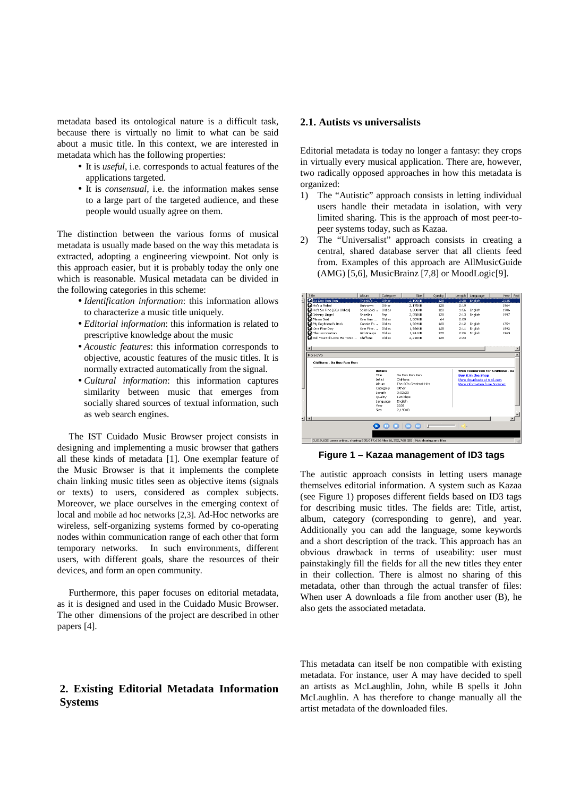metadata based its ontological nature is a difficult task, because there is virtually no limit to what can be said about a music title. In this context, we are interested in metadata which has the following properties:

- Itis *useful*, i.e. corresponds to actual features of the applications targeted.
- It is *consensual*, i.e. the information makes sense to a large part of the targeted audience, and these people would usually agree on them.

The distinction between the various forms of musical metadata is usually made based on the way this metadata is extracted, adopting a engineering viewpoint. Not only is this approach easier, but it is probably today the only one which is reasonable. Musical metadata can be divided in the following categories in this scheme:

- *Identification information* : this information allows to characterize a music title uniquely.
- *Editorial information* : this information is related to prescriptive knowledge about the music
- *Acoustic features* : this information corresponds to objective, acoustic features of the music titles. It is normally extracted automatically from the signal.
- *Cultural information* : this information captures similarity between music that emerges from socially shared sources of textual information, such as websearchengines.

The IST Cuidado Music Browser project consists in designing and implementing a music browser that gathers all these kinds of metadata [1]. One exemplar feature of the Music Browser is that it implements the complete chain linking music titles seen as objective items (signals or texts) to users, considered as complex subjects. Moreover, we place ourselves in the emerging context of local and mobile adhocnetworks [2,3]. Ad-Hocnetworks are wireless, self-organizing systems formed by co-operating nodes within communication range of each other that form temporary networks . In such environments, different users, with different goals, share the resources of their devices, and form an open community.

Furthermore, this paper focuses on editorial metadata, as it is designed and used in the Cuidado Music Browser. The other dimensions of the project are described in other papers[4].

# **2. Existing Editorial Metadata Information Systems**

### **2.1. Autists vs universalists**

Editorial metadata is today no longer a fantasy: they crops in virtually every musical application. There are, however, two radically opposed approaches in how this metadata is organized:

- 1) The "Autistic" approach consists in letting individual users handle their metadata in isolation, with very limited sharing. This is the approach of most peer-topeer systems today, such as Kazaa.
- 2) The "Universalist" approach consists in creating a central, shared database server that all clients feed from. Examples of this approach are AllMusicGuide (AMG) [5,6], MusicBrainz [7,8] or MoodLogic[9].



### **Figure 1 – Kazaa management of ID3 tags**

The autistic approach consists in letting users manage themselves editorial information. A system such as Kazaa (see Figure 1) proposes different fields based on ID3 tags for describing music titles. The fields are: Title, artist, album, category (corresponding to genre), and year. Additionally you can add the language, some keywords and a short description of the track. This approach has an obvious drawback in terms of useability: user must painstakingly fill the fields for all the new titles they enter in their collection. There is almost no sharing of this metadata, other than through the actual transfer of files: When user A downloads a file from another user (B), he also gets the associated metadata.

This metadata can itself be non compatible with existing metadata. For instance, user A may have decided to spell an artists as McLaughlin, John, while B spells it John McLaughlin. A has therefore to change manually all the artist metadata of the downloaded files.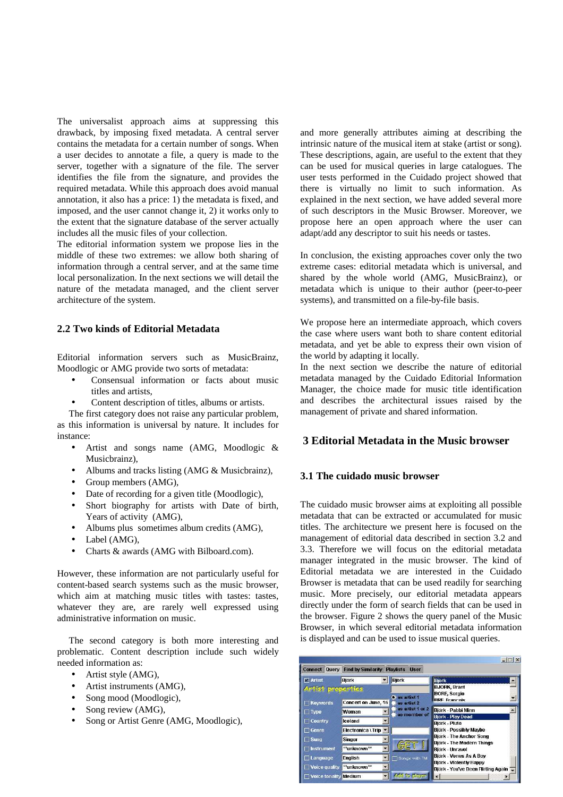The universalist approach aims at suppressing this drawback, by imposing fixed metadata. A central server contains the metadata for a certain number of songs. When a user decides to annotate a file, a query is made to the server, together with a signature of the file. The server identifies the file from the signature, and provides the required metadata. While this approach does avoid manual annotation, it also has a price: 1) the metadatais fixed, and imposed, and the user cannot change it, 2) it works only to the extent that the signature database of the server actually includes all the music files of your collection.

The editorial information system we propose lies in the middle of these two extremes: we allow both sharing of information through a central server, and at the same time local personalization. In the next sections we will detail the nature of the metadata managed, and the client server architecture of the system.

### **2.2 Two kinds of Editorial Metadata**

Editorial information servers such as MusicBrainz, MoodlogicorAMGprovidetwosortsofmetadata:

- Consensual information or facts about music titles and artists.
- Content description of titles, albums or artists.

The first category does not raise any particular problem, as this information is universal by nature. It includes for instance:

- Artist and songs name (AMG, Moodlogic & Musicbrainz),
- Albums and tracks listing (AMG&Music brainz),
- Groupmembers  $(AMG)$ ,
- Date of recording for a given title (Moodlogic),
- Short biography for artists with Date of birth, Years of activity (AMG),
- Albums plus sometimes album credits (AMG),
- Label(AMG),
- Charts & awards (AMG with Bilboard.com).

However, these information are not particularly useful for content-based search systems such as the music browser, which aim at matching music titles with tastes: tastes, whatever they are, are rarely well expressed using administrative information on music.

The second category is both more interesting and problematic. Content description include such widely needed information as:

- $\bullet$  Artiststyle (AMG),
- Artistinstruments (AMG),
- Songmood(Moodlogic),
- Songreview  $(AMG)$ ,
- SongorArtistGenre(AMG,Moodlogic),

and more generally attributes aiming at describing the intrinsic nature of the musical item at stake (artist or song). These descriptions, again, are useful to the extent that they can be used for musical queries in large catalogues. The user tests performed in the Cuidado project showed that there is virtually no limit to such information. As explained in the next section, we have added several more of such descriptors in the Music Browser. Moreover, we propose here an open approach where the user can adapt/addanydescriptortosuithis needs ortastes.

In conclusion, the existing approaches cover only the two extreme cases: editorial metadata which is universal, and shared by the whole world (AMG, MusicBrainz), or metadata which is unique to their author (peer-to-peer systems), and transmitted on a file-by-file basis.

We propose here an intermediate approach, which covers the case where users want both to share content editorial metadata, and yet be able to express their own vision of the world by adapting it locally.

In the next section we describe the nature of editorial metadata managed by the Cuidado Editorial Information Manager, the choice made for music title identification and describes the architectural issues raised by the management of private and shared information.

## **3 Editorial Metadata in the Music browser**

### **3.1 The cuidado music browser**

The cuidado music browser aims at exploiting all possible metadata that can be extracted or accumulated for music titles. The architecture we present here is focused on the management of editorial data described in section 3.2 and 3.3. Therefore we will focus on the editorial metadata manager integrated in the music browser. The kind of Editorial metadata we are interested in the Cuidado Browser is metadata that can be used readily for searching music. More precisely, our editorial metadata appears directly under the form of search fields that can be used in the browser. Figure 2 shows the query panel of the Music Browser, in which several editorial metadata information is displayed and can be used to issue musical queries.

| Query<br><b>Connect</b>                              | <b>Find by Similarity</b>                     | <b>Playlists</b><br><b>User</b>  | $ \Box$ $\times$                                                                                                                                                                                                                                                              |  |  |
|------------------------------------------------------|-----------------------------------------------|----------------------------------|-------------------------------------------------------------------------------------------------------------------------------------------------------------------------------------------------------------------------------------------------------------------------------|--|--|
| $\Box$ Artist                                        | <b>Björk</b>                                  | <b>Björk</b>                     | <b>Björk</b>                                                                                                                                                                                                                                                                  |  |  |
| Artist properties<br>Concert on June, 16<br>Keywords |                                               | as artist 1<br>as artist 2       | <b>BJORK, Brant</b><br><b>BORE, Sergio</b><br><b>RRF Francois</b>                                                                                                                                                                                                             |  |  |
| $\top$ Type<br>Country                               | Woman<br><b>Iceland</b>                       | as artist 1 or 2<br>as member of | Biörk - Pabbi Minn<br><b>Björk - Play Dead</b><br><b>Biörk - Pluto</b><br>Björk - Possibly Maybe<br>Björk - The Anchor Song<br><b>Biörk - The Modern Thinas</b><br>Björk - Unravel<br>Björk - Venus As A Boy<br>Biörk - Violently Happy<br>Björk - You've Been Flirting Again |  |  |
| ∃ Genre<br>$\sqcap$ Sung<br>1nstrument               | Electronica \ Trip *<br>Singer<br>**unknown** |                                  |                                                                                                                                                                                                                                                                               |  |  |
| Language<br>Voice quality                            | <b>Enalish</b><br>**unknown**                 | Songs with TM                    |                                                                                                                                                                                                                                                                               |  |  |
| Voice tonality Medium                                |                                               | del tic pleases                  |                                                                                                                                                                                                                                                                               |  |  |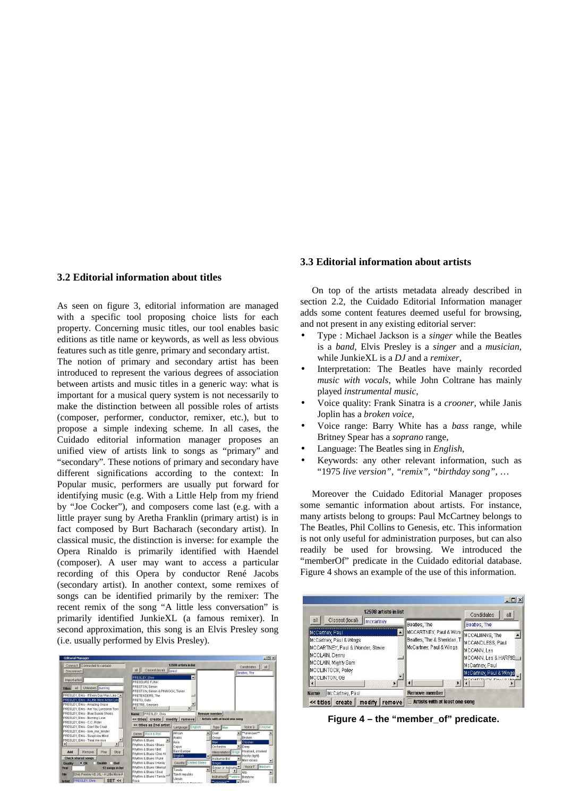## **3.2 Editorial information about titles**

As seen on figure 3, editorial information are managed with a specific tool proposing choice lists for each property. Concerning music titles, our tool enables basic editions as title name or keywords, as well as less obvious features such as title genre, primary and secondary artist. The notion of primary and secondary artist has been introduced to represent the various degrees of association between artists and music titles in a generic way: what is important for a musical query system is not necessarily to make the distinction between all possible roles of artists (composer, performer, conductor, remixer, etc.), but to propose a simple indexing scheme. In all cases, the Cuidado editorial information manager proposes an unified view of artists link to songs as "primary" and "secondary". These notions of primary and secondary have different significations according to the context: In Popular music, performers are usually put forward for identifying music (e.g. With a Little Help from my friend by "Joe Cocker"), and composers come last (e.g. with a little prayer sung by Aretha Franklin (primary artist) is in fact composed by Burt Bacharach (secondary artist). In classical music, the distinction is inverse: for example the Opera Rinaldo is primarily identified with Haendel (composer). A user may want to access a particular recording of this Opera by conductor René Jacobs (secondary artist). In another context, some remixes of songs can be identified primarily by the remixer: The recent remix of the song "A little less conversation" is primarily identified JunkieXL (a famous remixer). In second approximation, this song is an Elvis Presley song (i.e. usually performed by Elvis Presley).

| <b>Editorial Manager</b>                                                                                                                                                                                            |                                                                                                                                                                  |                                                                          |                                                                                                                      | $  \sqrt{2}$                                                                             |
|---------------------------------------------------------------------------------------------------------------------------------------------------------------------------------------------------------------------|------------------------------------------------------------------------------------------------------------------------------------------------------------------|--------------------------------------------------------------------------|----------------------------------------------------------------------------------------------------------------------|------------------------------------------------------------------------------------------|
| Connect Connected to cuidado<br><b>Disconnect</b>                                                                                                                                                                   | Closest (local)<br>all                                                                                                                                           | 12598 artists in list<br>prest                                           |                                                                                                                      | all<br>Candidates<br>Beatles, The                                                        |
| Import artist<br>Unknown burning<br>all<br><b>Titles</b><br>PRESLEY, Elvis - If Every Day Was Like C -<br>PRESLEY, Elvis - A Little More Action Les<br>PRESLEY, Elvis - Amazing Grace                               | PRESLEY, Elvis<br>PRESSURE FUNK<br>PRESTON, Simon<br>PRESTON, Simon & PINNOCK, Trevor<br>PRETENDERS, The<br>PRETO, Gato<br>PRETRE, Georges                       | E                                                                        |                                                                                                                      |                                                                                          |
| PRESLEY. Elvis - Are You Lonsome Toni<br>PRESLEY, Elvis - Blue Suede Shoes<br>PRESLEY, Elvis - Burning Love<br>PRESLEY, Elvis - C.C. Rider<br>PRESLEY, Elvis - Dont Be Cruel                                        | <b>PRESLEY, Elvis</b><br><b>Name</b><br><< titles create<br><< titles as 2nd artist                                                                              | modify remove<br>Language English                                        | <b>Remove member</b><br>Artists with at least one song<br>Type Man                                                   | Voice Q<br>Crooner                                                                       |
| PRESLEY. Elvis - love me tender<br>PRESLEY, Elvis - Suspiciou Mind<br>PRESLEY, Elvis - Treat me nice<br>нı<br>$\mathbf{H}$<br>Play<br>Add<br>Remove<br>Stop                                                         | Genre Rock & Roll<br>Rhythm & Blues<br>Rhythm & Blues \ Blues<br>Rhythm & Blues \ Brit                                                                           | African<br>Arabic<br>Asia<br>Caiun<br>East Europe                        | Duet<br>Group<br>Man<br>Orchestra<br>Interpretation Singe                                                            | **unknown**<br>$\blacktriangle$<br><b>Broken</b><br>Crooner<br>IDeep<br>Hoarsed, croaked |
| <b>Check shared songs</b><br><b>Double</b><br><b>Bad</b><br>O(K)<br>Quality<br>Year<br>13 songs in list<br>Elvis Presley VS JXL - A Little More A<br><b>File</b><br>SET <<br><b>PRESLEY, Elvis</b><br><b>Artist</b> | Rhythm & Blues \ Doo W<br>Rhythm & Blues \ Funk<br>Rhythm & Blues \ Honky<br>Rhythm & Blues \ Mempl<br>Rhythm & Blues \ Soul<br>Rhythm & Blues \ Tamia "<br>Rock | English<br>Country   United States<br>Tuvalu<br>Tzech republic<br>Ukrain | Instrumentist<br>Singer<br>Singer or Instrume<br>$\blacktriangle$<br>Instrumenti ** unkno<br>thinknows <sup>**</sup> | Husky (light)<br>Men voices<br>Medium<br>Voice T<br>Alto<br>Bantone<br>Bass              |

### **3.3 Editorial information about artists**

On top of the artists metadata already described in section 2.2, the Cuidado Editorial Information manager adds some content features deemed useful for browsing, and not present in any existing editorial server:

- Type : Michael Jackson is a *singer* while the Beatles is a *band*, Elvis Presley is a *singer* and a *musician*, while Junkie XL is a *DJ* and are *mixer*,
- Interpretation: The Beatles have mainly recorded *music with vocals* , while John Coltrane has mainly played *instrumentalmusic*,
- Voice quality: Frank Sinatra is a *crooner,* while Janis Joplinhasa *brokenvoice*.
- Voice range: Barry White has a *bass* range, while Britney Spearhasa *soprano* range,
- Language: The Beatles sing in *English*,
- Keywords: any other relevant information, such as "1975 *live version", "remix", "birthday song"* , …

Moreover the Cuidado Editorial Manager proposes some semantic information about artists. For instance, many artists belong to groups: Paul McCartney belongs to The Beatles, Phil Collins to Genesis, etc. This information is not only useful for administration purposes, but can also readily be used for browsing. We introduced the "memberOf" predicate in the Cuidado editorial database. Figure 4 shows an example of the use of this information.



**Figure 4 – the "member\_of" predicate.**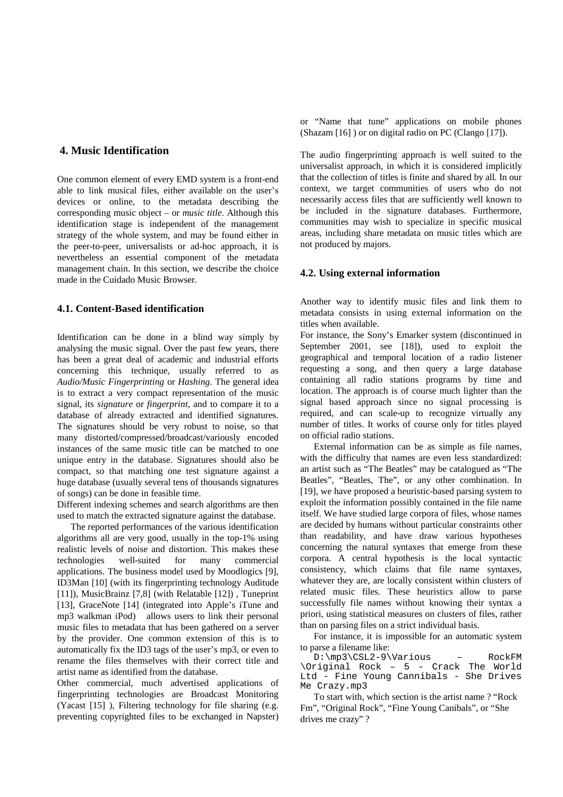# **4. Music Identification**

One common element of every EMD system is a front-end able to link musical files, either available on the user's devices or online, to the metadata describing the corresponding music object-or *music title* . Although this identification stage is independent of the management strategy of the whole system, and may be found either in the peer-to-peer, universalists or ad-hoc approach, it is nevertheless an essential component of the metadata management chain. In this section, we describe the choice made in the Cuidado Music Browser.

## **4.1. Content-Based identification**

Identification can be done in a blind way simply by analysing the music signal. Over the past few years, there has been a great deal of academic and industrial efforts concerning this technique, usually referred to as *Audio/Music Fingerprinting* or *Hashing*. The general idea is to extract a very compact representation of the music signal, its *signature* or *fingerprint,* and to compare it to a database of already extracted and identified signatures. The signatures should be very robust to noise, so that many distorted/compressed/broadcast/variously encoded instances of the same music title can be matched to one unique entry in the database. Signatures should also be compact, so that matching one test signature against a hugedatabase (usually several tens of thousands signatures of songs) can be done in feasible time.

Different indexing schemes and search algorithms are then used to match the extracted signature against the database.

The reported performances of the various identification algorithms all are very good, usually in the top-1% using realistic levels of noise and distortion. This makes these technologies well-suited for many commercial applications. The business model used by Moodlogics [9], ID3Man [10] (with its fingerprinting technology Auditude [11]), MusicBrainz [7,8] (with Relatable [12]) , Tuneprint [13], GraceNote [14] (integrated into Apple's iTune and mp3 walkman iPod) allows users to link their personal music files to metadata that has been gathered on a server by the provider. One common extension of this is to automatically fix the ID3 tags of the user's mp3, or even to rename the files themselves with their correct title and artistnameasidentified from the database.

Other commercial, much advertised applications of fingerprinting technologies are Broadcast Monitoring (Yacast [15] ), Filtering technology for file sharing (e.g. preventing copyrighted files to be exchanged in Napster)

or "Name that tune" applications on mobile phones  $(Shazam[16])$  or on digital radio on PC (Clango [17]).

The audio fingerprinting approach is well suited to the universalist approach, in which it is considered implicitly that the collection of titles is finite and shared by all. In our context, we target communities of users who do not necessarily access files that are sufficiently well known t o be included in the signature databases. Furthermore, communities may wish to specialize in specific musical areas, including share metadata on music titles which are notproduced by majors.

### **4.2. Using external information**

Another way to identify music files and link them to metadata consists in using external information on the titles when available.

For instance, the Sony's Emarker system (discontinued in September 2001, see [18]), used to exploit the geographical and temporal location of a radio listener requesting a song, and then query a large database containing all radio stations programs by time and location. The approach is of course much lighter than the signal based approach since no signal processing is required, and can scale-up to recognize virtually any number of titles. It works of course only for titles played on official radio stations.

External information can be as simple as file names, with the difficulty that names are even less standardized: an artist such as "The Beatles" may be catalogued as "The Beatles", "Beatles, The", or any other combination. In [19], we have proposed a heuristic-based parsing system to exploit the information possibly contained in the file name itself. We have studied large corpora of files, whose names are decided by humans without particular constraints other than readability, and have draw various hypotheses concerning the natural syntaxes that emerge from these corpora. A central hypothesis is the local syntactic consistency, which claims that file name syntaxes, whatever they are, are locally consistent within clusters of related music files. These heuristics allow to parse successfully file names without knowing their syntax a priori, using statistical measures on clusters of files, rather than on parsing files on a strict individual basis.

For instance, it is impossible for an automatic system to parse a filename like:

D:\mp3\CSL2-9\Various – RockFM \Original Rock – 5 - Crack The World Ltd - Fine Young Cannibals - She Drives Me Crazy.mp3

To start with, which section is the artist name? "Rock Fm", "Original Rock", "Fine Young Canibals", or "She drives mecrazy"?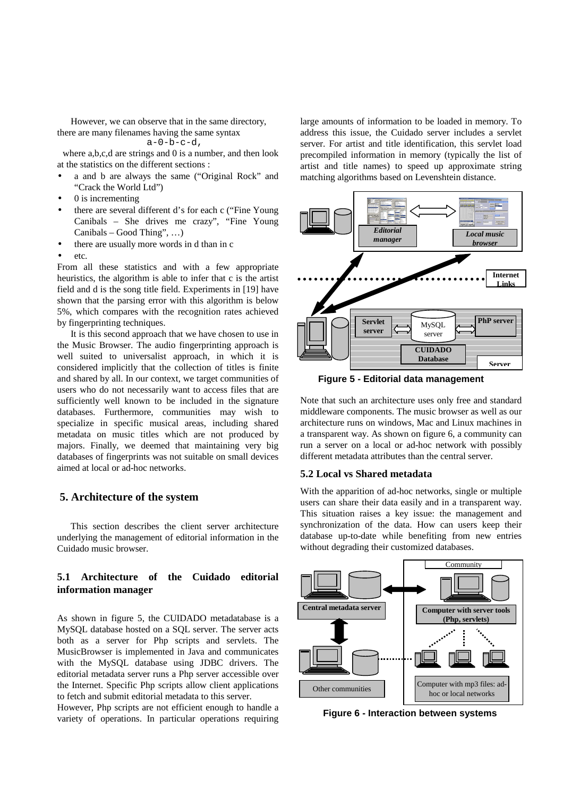However, we can observe that in the same directory, there are many filenames having the same syntax  $a-0-b-c-d$ ,

wherea,b,c,dare strings and 0 is a number, and then look atthe statistics on the different sections:

- a and b are always the same ("Original Rock" and "Crackthe World Ltd")
- 0isincrementing
- there are several different d's foreach c ("Fine Young Canibals – She drives me crazy", "Fine Young Canibals-GoodThing",...)
- there are usually more words in dthan inc
- etc.

From all these statistics and with a few appropriate heuristics, the algorithm is able to infer that c is the artist field and dist he song title field. Experiments in [19] have shown that the parsing error with this algorithm is below 5%, which compares with the recognition rates achieved by fingerprinting techniques.

Itisthis second approach that we have chosen to use in the Music Browser. The audio fingerprinting approach is well suited to universalist approach, in which it is considered implicitly that the collection of titles is finite and shared by all. In our context, we target communities of users who do not necessarily want to access files that are sufficiently well known to be included in the signature databases. Furthermore, communities may wish to specialize in specific musical areas, including shared metadata on music titles which are not produced by majors. Finally, we deemed that maintaining very big databases of fingerprints was not suitable on small devices aimedatlocalorad-hocnetworks.

## **5. Architecture of the system**

This section describes the client server architecture underlying the management of editorial information in the Cuidadomusic browser.

# **5.1 Architecture of the Cuidado editorial information manager**

As shown in figure 5, the CUIDADO metadatabase is a MySQL database hosted on a SQL server. The server acts both as a server for Php scripts and servlets. The MusicBrowser is implemented in Java and communicates with the MySQL database using JDBC drivers. The editorial metadata server runs a Php server accessible over the Internet. Specific Php scripts allow client applications to fetch and submit editorial metadata to this server. However, Php scripts are not efficient enough to handle a variety of operations. In particular operations requiring large amounts of information to be loaded in memory. To address this issue, the Cuidado server includes a servlet server. For artist and title identification, this servlet load precompiled information in memory (typically the list of artist and title names) to speed up approximate string matching algorithms based on Levenshte indistance.



**Figure 5 - Editorial data management** 

Note that such an architecture uses only free and standard middleware components. The music browser as well as our architecture runs on windows, Mac and Linux machines in atransparent way. As shown on figure 6, a community can run a server on a local or ad-hoc network with possibly different metadata attributes than the central server.

## **5.2 Local vs Shared metadata**

With the apparition of ad-hoc networks, single or multiple users can share their data easily and in a transparent way. This situation raises a key issue: the management and synchronization of the data. How can users keep their database up-to-date while benefiting from new entries without degrading their customized databases.



**Figure 6 - Interaction between systems**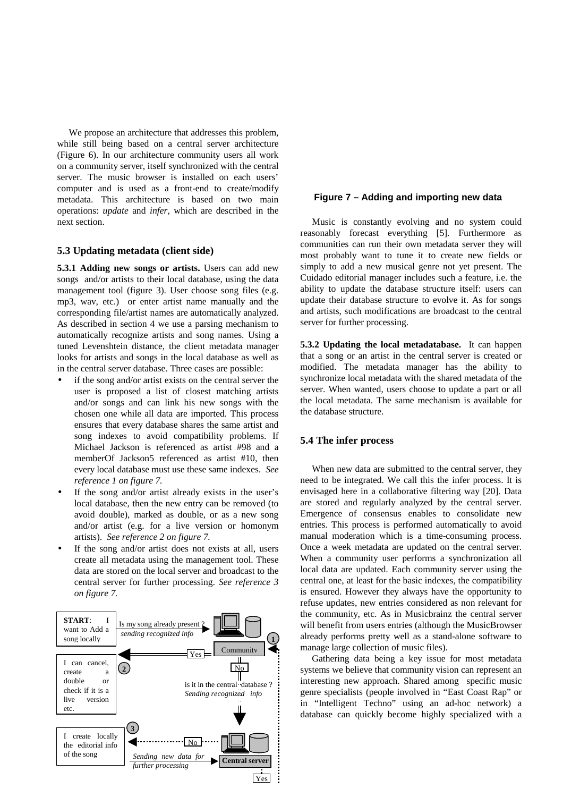We propose an architecture that addresses this problem, while still being based on a central server architecture (Figure 6). In our architecture community users all work on a community server, itself synchronized with the central server. The music browser is installed on each users' computer and is used as a front-end to create/modify metadata. This architecture is based on two main operations: *update* and *infer*, which are described in the next section.

### **5.3 Updating metadata (client side)**

**5.3.1 Adding new songs or artists.** Users can add new songs and/or artists to their local database, using the data management tool (figure 3). User choose song files (e.g. mp3, wav, etc.) or enter artist name manually and the corresponding file/artist names are automatically analyzed. As described in section 4 we use a parsing mechanism to automatically recognize artists and song names. Using a tuned Levenshtein distance, the client metadata manager looks for artists and songs in the local database as well as in the central server database. Three cases are possible:

- if the song and/orartist exists on the central server the user is proposed a list of closest matching artists and/or songs and can link his new songs with the chosen one while all data are imported. This process ensures that every database shares the same artist and song indexes to avoid compatibility problems. If Michael Jackson is referenced as artist #98 and a memberOf Jackson5 referenced as artist #10, then every local database must use these same indexes. *See reference 1 on figure 7.*
- If the song and/or artist already exists in the user's local database, then the new entry can be removed (to avoid double), marked as double, or as a new song and/or artist (e.g. for a live version or homonym artists). *See reference 2 on figure 7.*
- If the song and/or artist does not exists at all, users create all metadata using the management tool. These data are stored on the local server and broadcast to the central server for further processing. *See reference 3 on figure 7.*



### **Figure 7 – Adding and importing new data**

Music is constantly evolving and no system could reasonably forecast everything [5]. Furthermore as communities can run their own metadata server they will most probably want to tune it to create new fields or simply to add a new musical genre not yet present. The Cuidado editorial manager includes such a feature, i.e. the ability to update the database structure itself: users can update their database structure to evolve it. As for songs and artists, such modifications are broadcast to the central serverforfurther processing.

**5.3.2 Updating the local metadatabase.** It can happen that a song or an artist in the central server is created or modified. The metadata manager has the ability to synchronize local metadata with the shared metadata of the server. When wanted, users choose to update a part or all the local metadata. The same mechanism is available for the database structure.

## **5.4 The infer process**

When new data are submitted to the central server, they need to be integrated. We call this the infer process. It is envisaged here in a collaborative filtering way [20]. Data are stored and regularly analyzed by the central server. Emergence of consensus enables to consolidate new entries. This process is performed automatically to avoid manual moderation which is a time-consuming process. Once a week metadata are updated on the central server. When a community user performs a synchronization all local data are updated. Each community server using the central one, at least for the basic indexes, the compatibility is ensured. However they always have the opportunity to refuse updates, new entries considered as non relevant for the community, etc. As in Musicbrainz the central server will benefit from users entries (although the Music Browser already performs pretty well as a stand-alone software to managelargecollection of music files).

Gathering data being a key issue for most metadata systems we believe that community vision can represent an interesting new approach. Shared among specific music genre specialists (people involved in "East Coast Rap" or in "Intelligent Techno" using an ad-hoc network) a database can quickly become highly specialized with a